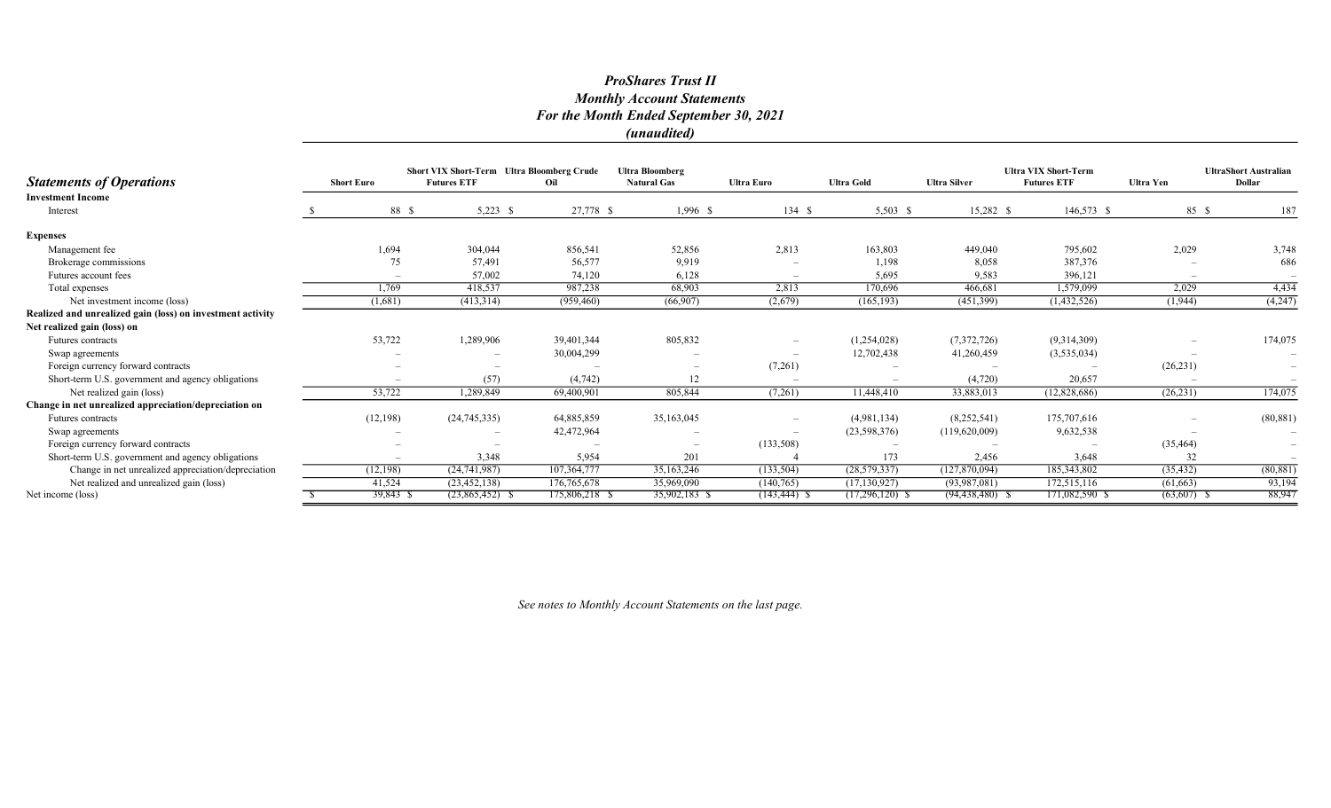|                                                            |                   |          | <b>Short VIX Short-Term Ultra Bloomberg Crude</b> |                | <b>Ultra Bloomberg</b>   |                          |                   |                     | <b>Ultra VIX Short-Term</b> |                  | <b>UltraShort Australian</b> |
|------------------------------------------------------------|-------------------|----------|---------------------------------------------------|----------------|--------------------------|--------------------------|-------------------|---------------------|-----------------------------|------------------|------------------------------|
| <b>Statements of Operations</b>                            | <b>Short Euro</b> |          | <b>Futures ETF</b>                                | Oil            | <b>Natural Gas</b>       | <b>Ultra Euro</b>        | <b>Ultra Gold</b> | <b>Ultra Silver</b> | <b>Futures ETF</b>          | <b>Ultra Yen</b> | <b>Dollar</b>                |
| <b>Investment Income</b>                                   |                   |          |                                                   |                |                          |                          |                   |                     |                             |                  |                              |
| Interest                                                   |                   | 88 \$    | $5,223$ \$                                        | 27,778 \$      | $1,996$ \$               | 134S                     | $5,503$ \$        | 15,282 \$           | 146,573 \$                  | 85 \$            | 187                          |
| <b>Expenses</b>                                            |                   |          |                                                   |                |                          |                          |                   |                     |                             |                  |                              |
| Management fee                                             |                   | 1,694    | 304,044                                           | 856,541        | 52,856                   | 2,813                    | 163,803           | 449,040             | 795,602                     | 2,029            | 3,748                        |
| Brokerage commissions                                      |                   | 75       | 57,491                                            | 56,577         | 9,919                    |                          | 1,198             | 8,058               | 387,376                     |                  | 686                          |
| Futures account fees                                       |                   |          | 57,002                                            | 74,120         | 6,128                    |                          | 5,695             | 9,583               | 396,121                     |                  |                              |
| Total expenses                                             |                   | 1,769    | 418,537                                           | 987,238        | 68,903                   | 2,813                    | 170,696           | 466,681             | 1,579,099                   | 2,029            | 4,434                        |
| Net investment income (loss)                               | (1,681)           |          | (413,314)                                         | (959, 460)     | (66,907)                 | (2,679)                  | (165, 193)        | (451,399)           | (1,432,526)                 | (1,944)          | (4,247)                      |
| Realized and unrealized gain (loss) on investment activity |                   |          |                                                   |                |                          |                          |                   |                     |                             |                  |                              |
| Net realized gain (loss) on                                |                   |          |                                                   |                |                          |                          |                   |                     |                             |                  |                              |
| Futures contracts                                          |                   | 53,722   | 1,289,906                                         | 39,401,344     | 805,832                  |                          | (1,254,028)       | (7,372,726)         | (9,314,309)                 |                  | 174,075                      |
| Swap agreements                                            |                   |          |                                                   | 30,004,299     |                          |                          | 12,702,438        | 41,260,459          | (3,535,034)                 |                  |                              |
| Foreign currency forward contracts                         |                   |          |                                                   |                | $\overline{\phantom{a}}$ | (7,261)                  |                   |                     |                             | (26, 231)        |                              |
| Short-term U.S. government and agency obligations          |                   |          | (57)                                              | (4,742)        | 12                       |                          |                   | (4,720)             | 20,657                      |                  |                              |
| Net realized gain (loss)                                   |                   | 53,722   | 1,289,849                                         | 69,400,901     | 805,844                  | (7,261)                  | 11,448,410        | 33,883,013          | (12,828,686)                | (26, 231)        | 174,075                      |
| Change in net unrealized appreciation/depreciation on      |                   |          |                                                   |                |                          |                          |                   |                     |                             |                  |                              |
| Futures contracts                                          | (12, 198)         |          | (24,745,335)                                      | 64,885,859     | 35,163,045               | $\overline{\phantom{0}}$ | (4,981,134)       | (8,252,541)         | 175,707,616                 |                  | (80, 881)                    |
| Swap agreements                                            |                   |          |                                                   | 42,472,964     |                          |                          | (23,598,376)      | (119,620,009)       | 9,632,538                   |                  |                              |
| Foreign currency forward contracts                         |                   |          |                                                   |                | $\overline{\phantom{a}}$ | (133,508)                |                   |                     |                             | (35, 464)        |                              |
| Short-term U.S. government and agency obligations          |                   |          | 3,348                                             | 5,954          | 201                      |                          | 173               | 2,456               | 3,648                       | 32               |                              |
| Change in net unrealized appreciation/depreciation         | (12, 198)         |          | (24, 741, 987)                                    | 107,364,777    | 35, 163, 246             | (133, 504)               | (28, 579, 337)    | (127,870,094)       | 185,343,802                 | (35, 432)        | (80, 881)                    |
| Net realized and unrealized gain (loss)                    |                   | 41,524   | (23, 452, 138)                                    | 176,765,678    | 35,969,090               | (140, 765)               | (17, 130, 927)    | (93, 987, 081)      | 172,515,116                 | (61, 663)        | 93,194                       |
| Net income (loss)                                          |                   | 39,843 S | $(23,865,452)$ \$                                 | 175,806,218 \$ | 35,902,183 \$            | $(143, 444)$ \$          | $(17,296,120)$ \$ | $(94, 438, 480)$ \$ | 171,082,590 \$              | $(63,607)$ \$    | 88,947                       |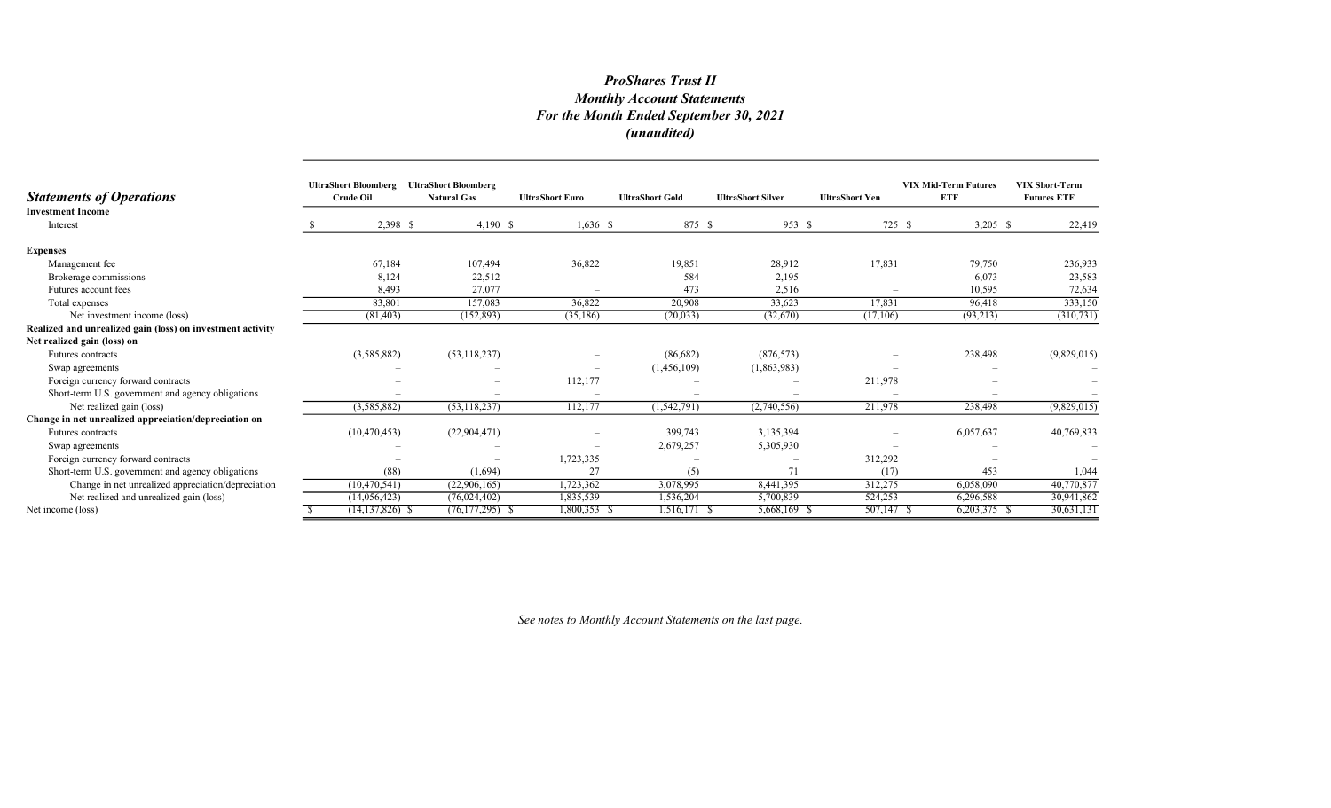| <b>Statements of Operations</b>                            | <b>UltraShort Bloomberg</b><br><b>Crude Oil</b> | <b>UltraShort Bloomberg</b><br><b>Natural Gas</b> | <b>UltraShort Euro</b>   | <b>UltraShort Gold</b> | <b>UltraShort Silver</b> | <b>UltraShort Yen</b>    | <b>VIX Mid-Term Futures</b><br><b>ETF</b> | <b>VIX Short-Term</b><br><b>Futures ETF</b> |
|------------------------------------------------------------|-------------------------------------------------|---------------------------------------------------|--------------------------|------------------------|--------------------------|--------------------------|-------------------------------------------|---------------------------------------------|
| <b>Investment Income</b><br>Interest                       |                                                 | 2,398 \$<br>4,190 \$                              | $1,636$ \$               | 875 \$                 | 953S                     | 725 \$                   | $3,205$ \$                                | 22,419                                      |
| <b>Expenses</b>                                            |                                                 |                                                   |                          |                        |                          |                          |                                           |                                             |
| Management fee                                             | 67,184                                          | 107,494                                           | 36,822                   | 19,851                 | 28,912                   | 17,831                   | 79,750                                    | 236,933                                     |
| Brokerage commissions                                      | 8,124                                           | 22,512                                            |                          | 584                    | 2,195                    |                          | 6,073                                     | 23,583                                      |
| Futures account fees                                       | 8,493                                           | 27,077                                            |                          | 473                    | 2,516                    | $\overline{\phantom{a}}$ | 10,595                                    | 72,634                                      |
| Total expenses                                             | 83,801                                          | 157,083                                           | 36,822                   | 20,908                 | 33,623                   | 17,831                   | 96,418                                    | 333,150                                     |
| Net investment income (loss)                               | (81, 403)                                       | (152, 893)                                        | (35, 186)                | (20,033)               | (32,670)                 | (17,106)                 | (93,213)                                  | (310, 731)                                  |
| Realized and unrealized gain (loss) on investment activity |                                                 |                                                   |                          |                        |                          |                          |                                           |                                             |
| Net realized gain (loss) on                                |                                                 |                                                   |                          |                        |                          |                          |                                           |                                             |
| Futures contracts                                          | (3,585,882)                                     | (53, 118, 237)                                    |                          | (86,682)               | (876, 573)               |                          | 238,498                                   | (9,829,015)                                 |
| Swap agreements                                            |                                                 |                                                   | $\overline{\phantom{a}}$ | (1,456,109)            | (1,863,983)              |                          |                                           |                                             |
| Foreign currency forward contracts                         |                                                 |                                                   | 112,177                  |                        |                          | 211,978                  |                                           |                                             |
| Short-term U.S. government and agency obligations          |                                                 |                                                   |                          |                        |                          |                          |                                           |                                             |
| Net realized gain (loss)                                   | (3,585,882)                                     | (53, 118, 237)                                    | 112,177                  | (1, 542, 791)          | (2,740,556)              | 211,978                  | 238,498                                   | (9,829,015)                                 |
| Change in net unrealized appreciation/depreciation on      |                                                 |                                                   |                          |                        |                          |                          |                                           |                                             |
| Futures contracts                                          | (10, 470, 453)                                  | (22,904,471)                                      |                          | 399,743                | 3,135,394                |                          | 6,057,637                                 | 40,769,833                                  |
| Swap agreements                                            |                                                 |                                                   |                          | 2,679,257              | 5,305,930                |                          |                                           |                                             |
| Foreign currency forward contracts                         |                                                 |                                                   | 1,723,335                |                        |                          | 312,292                  |                                           |                                             |
| Short-term U.S. government and agency obligations          |                                                 | (88)<br>(1,694)                                   | 27                       | (5)                    | 71                       | (17)                     | 453                                       | 1,044                                       |
| Change in net unrealized appreciation/depreciation         | (10, 470, 541)                                  | (22,906,165)                                      | 1,723,362                | 3,078,995              | 8,441,395                | 312,275                  | 6,058,090                                 | 40,770,877                                  |
| Net realized and unrealized gain (loss)                    | (14,056,423)                                    | (76, 024, 402)                                    | 1,835,539                | 1,536,204              | 5,700,839                | 524,253                  | 6,296,588                                 | 30,941,862                                  |
| Net income (loss)                                          | $(14, 137, 826)$ \$                             | $(76, 177, 295)$ \$                               | $1,800,353$ \$           | 1,516,171 \$           | 5,668,169 \$             | 507,147 \$               | $6,203,375$ \$                            | 30,631,131                                  |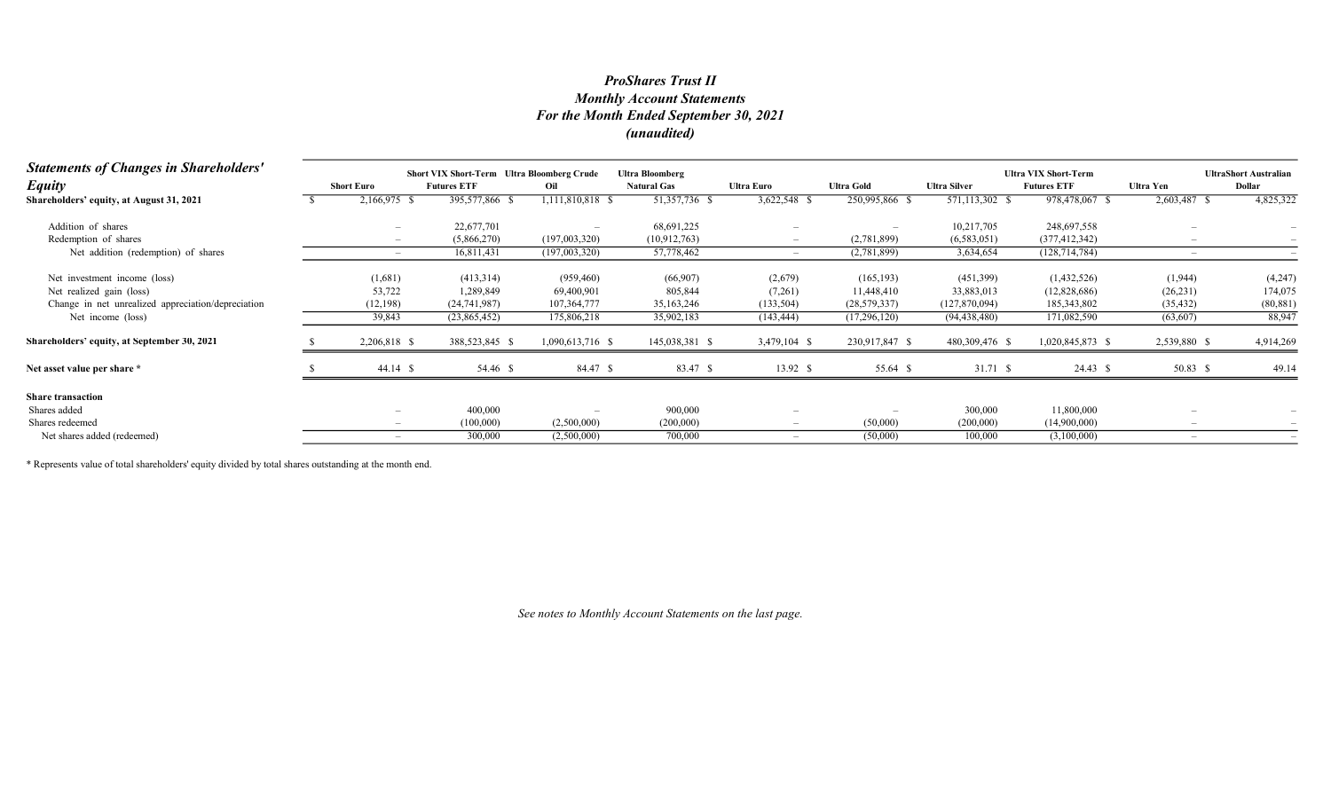| <b>Statements of Changes in Shareholders'</b>      |                          | <b>Short VIX Short-Term</b> Ultra Bloomberg Crude |                          | <b>Ultra Bloomberg</b> |                   |                   |                     | <b>Ultra VIX Short-Term</b> |              | <b>UltraShort Australian</b> |
|----------------------------------------------------|--------------------------|---------------------------------------------------|--------------------------|------------------------|-------------------|-------------------|---------------------|-----------------------------|--------------|------------------------------|
| <b>Equity</b>                                      | <b>Short Euro</b>        | <b>Futures ETF</b>                                | Oil                      | <b>Natural Gas</b>     | <b>Ultra Euro</b> | <b>Ultra Gold</b> | <b>Ultra Silver</b> | <b>Futures ETF</b>          | Ultra Yen    | Dollar                       |
| Shareholders' equity, at August 31, 2021           | 2,166,975 \$             | 395,577,866 \$                                    | 1,111,810,818 \$         | 51,357,736 \$          | 3,622,548 \$      | 250,995,866 \$    | 571,113,302 \$      | 978,478,067 \$              | 2,603,487 \$ | 4,825,322                    |
| Addition of shares                                 |                          | 22,677,701                                        | $\overline{\phantom{0}}$ | 68,691,225             |                   |                   | 10,217,705          | 248,697,558                 |              |                              |
| Redemption of shares                               |                          | (5,866,270)                                       | (197,003,320)            | (10,912,763)           |                   | (2,781,899)       | (6,583,051)         | (377, 412, 342)             |              |                              |
| Net addition (redemption) of shares                |                          | 16,811,431                                        | (197,003,320)            | 57,778,462             |                   | (2,781,899)       | 3,634,654           | (128, 714, 784)             |              |                              |
| Net investment income (loss)                       | (1,681)                  | (413,314)                                         | (959, 460)               | (66,907)               | (2,679)           | (165, 193)        | (451,399)           | (1,432,526)                 | (1,944)      | (4,247)                      |
| Net realized gain (loss)                           | 53,722                   | 1,289,849                                         | 69,400,901               | 805,844                | (7,261)           | 11,448,410        | 33,883,013          | (12,828,686)                | (26, 231)    | 174,075                      |
| Change in net unrealized appreciation/depreciation | (12, 198)                | (24,741,987)                                      | 107,364,777              | 35, 163, 246           | (133, 504)        | (28, 579, 337)    | (127,870,094)       | 185, 343, 802               | (35, 432)    | (80, 881)                    |
| Net income (loss)                                  | 39,843                   | (23,865,452)                                      | 175,806,218              | 35,902,183             | (143, 444)        | (17,296,120)      | (94, 438, 480)      | 171,082,590                 | (63,607)     | 88,947                       |
| Shareholders' equity, at September 30, 2021        | 2,206,818 \$             | 388,523,845 \$                                    | 1,090,613,716 \$         | 145,038,381 \$         | 3,479,104 \$      | 230,917,847 \$    | 480,309,476 \$      | 1,020,845,873 \$            | 2,539,880 \$ | 4,914,269                    |
| Net asset value per share *                        | $44.14$ \$               | 54.46 \$                                          | 84.47 \$                 | 83.47 \$               | 13.92 \$          | 55.64 \$          | 31.71 \$            | 24.43 \$                    | 50.83 \$     | 49.14                        |
| <b>Share transaction</b>                           |                          |                                                   |                          |                        |                   |                   |                     |                             |              |                              |
| Shares added                                       |                          | 400,000                                           | $\overline{\phantom{0}}$ | 900,000                |                   |                   | 300,000             | 11,800,000                  |              |                              |
| Shares redeemed                                    | $\overline{\phantom{m}}$ | (100,000)                                         | (2,500,000)              | (200,000)              | $-$               | (50,000)          | (200,000)           | (14,900,000)                |              |                              |
| Net shares added (redeemed)                        |                          | 300,000                                           | (2,500,000)              | 700,000                |                   | (50,000)          | 100,000             | (3,100,000)                 |              |                              |

\* Represents value of total shareholders' equity divided by total shares outstanding at the month end.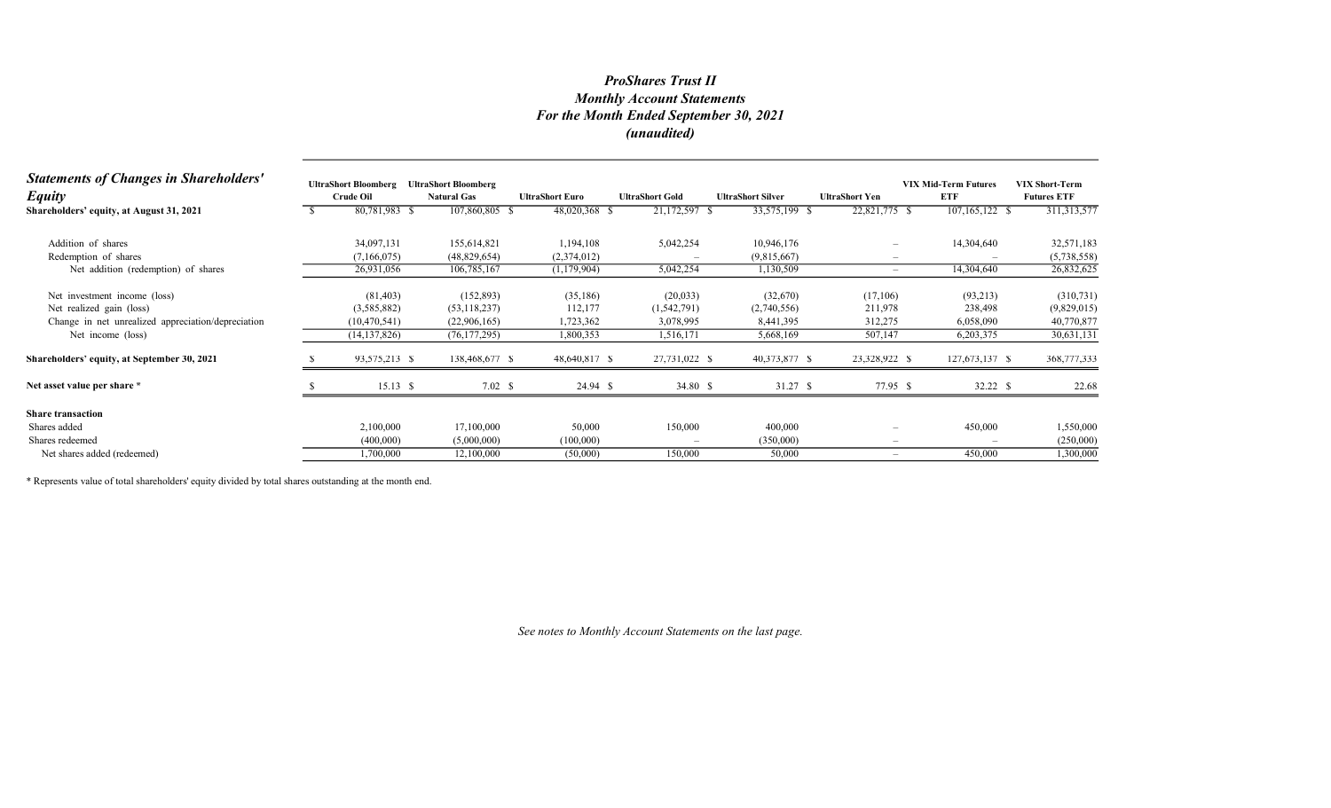| <b>Statements of Changes in Shareholders'</b><br><b>Equity</b> | <b>UltraShort Bloomberg</b><br><b>Crude Oil</b> | <b>UltraShort Bloomberg</b><br><b>Natural Gas</b> | <b>UltraShort Euro</b> | <b>UltraShort Gold</b> | <b>UltraShort Silver</b> | <b>UltraShort Yen</b>    | <b>VIX Mid-Term Futures</b><br><b>ETF</b> | <b>VIX Short-Term</b><br><b>Futures ETF</b> |
|----------------------------------------------------------------|-------------------------------------------------|---------------------------------------------------|------------------------|------------------------|--------------------------|--------------------------|-------------------------------------------|---------------------------------------------|
| Shareholders' equity, at August 31, 2021                       | 80,781,983 \$                                   | 107,860,805 \$                                    | 48,020,368 \$          | 21,172,597 \$          | 33,575,199 \$            | 22,821,775 \$            | 107,165,122 \$                            | 311, 313, 577                               |
| Addition of shares                                             | 34,097,131                                      | 155,614,821                                       | 1,194,108              | 5,042,254              | 10,946,176               | $\overline{\phantom{0}}$ | 14,304,640                                | 32,571,183                                  |
| Redemption of shares                                           | (7,166,075)                                     | (48,829,654)                                      | (2,374,012)            |                        | (9,815,667)              | $\qquad \qquad -$        |                                           | (5,738,558)                                 |
| Net addition (redemption) of shares                            | 26,931,056                                      | 106,785,167                                       | (1,179,904)            | 5,042,254              | 1,130,509                | $\overline{\phantom{a}}$ | 14,304,640                                | 26,832,625                                  |
| Net investment income (loss)                                   | (81, 403)                                       | (152, 893)                                        | (35, 186)              | (20,033)               | (32,670)                 | (17,106)                 | (93,213)                                  | (310, 731)                                  |
| Net realized gain (loss)                                       | (3,585,882)                                     | (53, 118, 237)                                    | 112,177                | (1,542,791)            | (2,740,556)              | 211,978                  | 238,498                                   | (9,829,015)                                 |
| Change in net unrealized appreciation/depreciation             | (10, 470, 541)                                  | (22,906,165)                                      | 1,723,362              | 3,078,995              | 8,441,395                | 312,275                  | 6,058,090                                 | 40,770,877                                  |
| Net income (loss)                                              | (14, 137, 826)                                  | (76, 177, 295)                                    | 1,800,353              | 1,516,171              | 5,668,169                | 507,147                  | 6,203,375                                 | 30,631,131                                  |
| Shareholders' equity, at September 30, 2021                    | 93,575,213 \$                                   | 138,468,677 \$                                    | 48,640,817 \$          | 27,731,022 \$          | 40,373,877 \$            | 23,328,922 \$            | 127,673,137 \$                            | 368,777,333                                 |
| Net asset value per share *                                    | $15.13\quad$                                    | 7.02 S                                            | 24.94 \$               | 34.80 \$               | 31.27 \$                 | 77.95 \$                 | 32.22 \$                                  | 22.68                                       |
| <b>Share transaction</b>                                       |                                                 |                                                   |                        |                        |                          |                          |                                           |                                             |
| Shares added                                                   | 2,100,000                                       | 17,100,000                                        | 50,000                 | 150,000                | 400,000                  | $\overline{\phantom{0}}$ | 450,000                                   | 1,550,000                                   |
| Shares redeemed                                                | (400,000)                                       | (5,000,000)                                       | (100,000)              |                        | (350,000)                |                          | $\overline{\phantom{a}}$                  | (250,000)                                   |
| Net shares added (redeemed)                                    | 1,700,000                                       | 12,100,000                                        | (50,000)               | 150,000                | 50,000                   | $\overline{\phantom{0}}$ | 450,000                                   | 1,300,000                                   |

\* Represents value of total shareholders' equity divided by total shares outstanding at the month end.